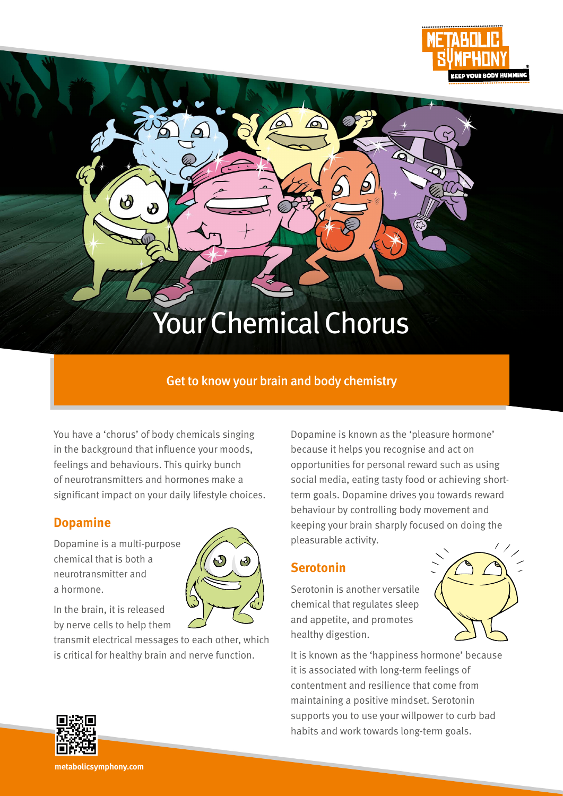

# Your Chemical Chorus

#### Get to know your brain and body chemistry

You have a 'chorus' of body chemicals singing in the background that influence your moods, feelings and behaviours. This quirky bunch of neurotransmitters and hormones make a significant impact on your daily lifestyle choices.

#### **Dopamine**

Dopamine is a multi-purpose chemical that is both a neurotransmitter and a hormone.

 $\delta$ 



In the brain, it is released by nerve cells to help them

transmit electrical messages to each other, which is critical for healthy brain and nerve function.

Dopamine is known as the 'pleasure hormone' because it helps you recognise and act on opportunities for personal reward such as using social media, eating tasty food or achieving shortterm goals. Dopamine drives you towards reward behaviour by controlling body movement and keeping your brain sharply focused on doing the pleasurable activity.

#### **Serotonin**

Serotonin is another versatile chemical that regulates sleep and appetite, and promotes healthy digestion.



It is known as the 'happiness hormone' because it is associated with long-term feelings of contentment and resilience that come from maintaining a positive mindset. Serotonin supports you to use your willpower to curb bad habits and work towards long-term goals.



**metabolicsymphony.com**